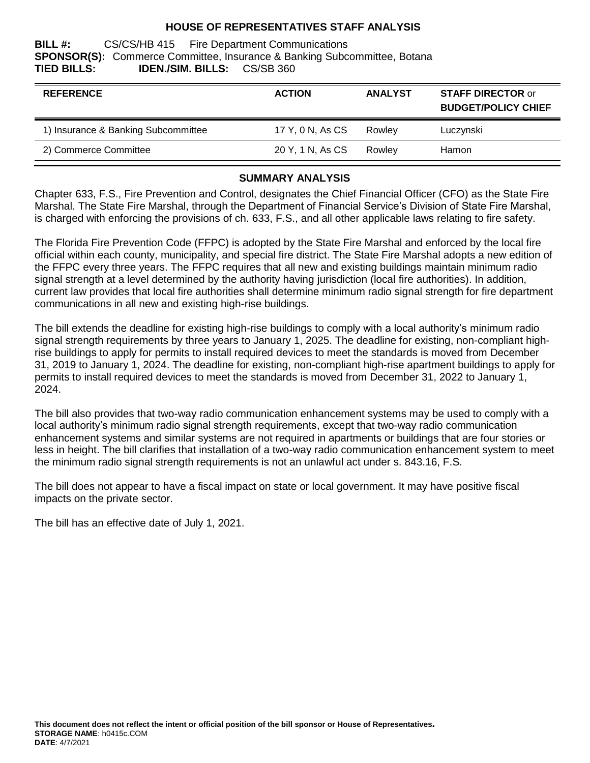#### **HOUSE OF REPRESENTATIVES STAFF ANALYSIS**

**BILL #:** CS/CS/HB 415 Fire Department Communications **SPONSOR(S):** Commerce Committee, Insurance & Banking Subcommittee, Botana **TIED BILLS: IDEN./SIM. BILLS:** CS/SB 360

| <b>REFERENCE</b>                    | <b>ACTION</b>    | <b>ANALYST</b> | <b>STAFF DIRECTOR or</b><br><b>BUDGET/POLICY CHIEF</b> |
|-------------------------------------|------------------|----------------|--------------------------------------------------------|
| 1) Insurance & Banking Subcommittee | 17 Y, 0 N, As CS | Rowley         | Luczynski                                              |
| 2) Commerce Committee               | 20 Y, 1 N, As CS | Rowley         | Hamon                                                  |

#### **SUMMARY ANALYSIS**

Chapter 633, F.S., Fire Prevention and Control, designates the Chief Financial Officer (CFO) as the State Fire Marshal. The State Fire Marshal, through the Department of Financial Service's Division of State Fire Marshal, is charged with enforcing the provisions of ch. 633, F.S., and all other applicable laws relating to fire safety.

The Florida Fire Prevention Code (FFPC) is adopted by the State Fire Marshal and enforced by the local fire official within each county, municipality, and special fire district. The State Fire Marshal adopts a new edition of the FFPC every three years. The FFPC requires that all new and existing buildings maintain minimum radio signal strength at a level determined by the authority having jurisdiction (local fire authorities). In addition, current law provides that local fire authorities shall determine minimum radio signal strength for fire department communications in all new and existing high-rise buildings.

The bill extends the deadline for existing high-rise buildings to comply with a local authority's minimum radio signal strength requirements by three years to January 1, 2025. The deadline for existing, non-compliant highrise buildings to apply for permits to install required devices to meet the standards is moved from December 31, 2019 to January 1, 2024. The deadline for existing, non-compliant high-rise apartment buildings to apply for permits to install required devices to meet the standards is moved from December 31, 2022 to January 1, 2024.

The bill also provides that two-way radio communication enhancement systems may be used to comply with a local authority's minimum radio signal strength requirements, except that two-way radio communication enhancement systems and similar systems are not required in apartments or buildings that are four stories or less in height. The bill clarifies that installation of a two-way radio communication enhancement system to meet the minimum radio signal strength requirements is not an unlawful act under s. 843.16, F.S.

The bill does not appear to have a fiscal impact on state or local government. It may have positive fiscal impacts on the private sector.

The bill has an effective date of July 1, 2021.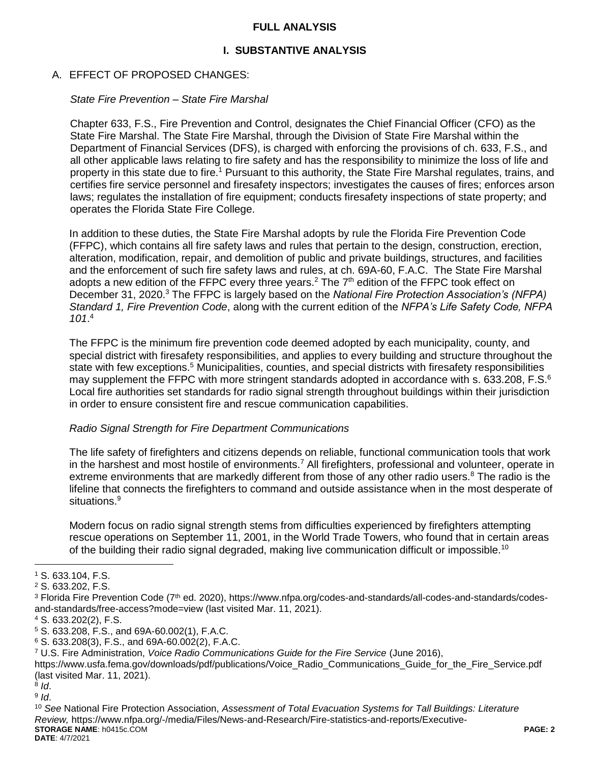#### **FULL ANALYSIS**

# **I. SUBSTANTIVE ANALYSIS**

#### A. EFFECT OF PROPOSED CHANGES:

#### *State Fire Prevention – State Fire Marshal*

Chapter 633, F.S., Fire Prevention and Control, designates the Chief Financial Officer (CFO) as the State Fire Marshal. The State Fire Marshal, through the Division of State Fire Marshal within the Department of Financial Services (DFS), is charged with enforcing the provisions of ch. 633, F.S., and all other applicable laws relating to fire safety and has the responsibility to minimize the loss of life and property in this state due to fire.<sup>1</sup> Pursuant to this authority, the State Fire Marshal regulates, trains, and certifies fire service personnel and firesafety inspectors; investigates the causes of fires; enforces arson laws; regulates the installation of fire equipment; conducts firesafety inspections of state property; and operates the Florida State Fire College.

In addition to these duties, the State Fire Marshal adopts by rule the Florida Fire Prevention Code (FFPC), which contains all fire safety laws and rules that pertain to the design, construction, erection, alteration, modification, repair, and demolition of public and private buildings, structures, and facilities and the enforcement of such fire safety laws and rules, at ch. 69A-60, F.A.C. The State Fire Marshal adopts a new edition of the FFPC every three years.<sup>2</sup> The  $7<sup>th</sup>$  edition of the FFPC took effect on December 31, 2020.<sup>3</sup> The FFPC is largely based on the *National Fire Protection Association's (NFPA) Standard 1, Fire Prevention Code*, along with the current edition of the *NFPA's Life Safety Code, NFPA 101*. 4

The FFPC is the minimum fire prevention code deemed adopted by each municipality, county, and special district with firesafety responsibilities, and applies to every building and structure throughout the state with few exceptions.<sup>5</sup> Municipalities, counties, and special districts with firesafety responsibilities may supplement the FFPC with more stringent standards adopted in accordance with s. 633.208, F.S.<sup>6</sup> Local fire authorities set standards for radio signal strength throughout buildings within their jurisdiction in order to ensure consistent fire and rescue communication capabilities.

#### *Radio Signal Strength for Fire Department Communications*

The life safety of firefighters and citizens depends on reliable, functional communication tools that work in the harshest and most hostile of environments.<sup>7</sup> All firefighters, professional and volunteer, operate in extreme environments that are markedly different from those of any other radio users.<sup>8</sup> The radio is the lifeline that connects the firefighters to command and outside assistance when in the most desperate of situations.<sup>9</sup>

Modern focus on radio signal strength stems from difficulties experienced by firefighters attempting rescue operations on September 11, 2001, in the World Trade Towers, who found that in certain areas of the building their radio signal degraded, making live communication difficult or impossible.<sup>10</sup>

 $\overline{a}$ 

<sup>1</sup> S. 633.104, F.S.

<sup>2</sup> S. 633.202, F.S.

<sup>&</sup>lt;sup>3</sup> Florida Fire Prevention Code (7<sup>th</sup> ed. 2020), https://www.nfpa.org/codes-and-standards/all-codes-and-standards/codesand-standards/free-access?mode=view (last visited Mar. 11, 2021).

<sup>4</sup> S. 633.202(2), F.S.

<sup>5</sup> S. 633.208, F.S., and 69A-60.002(1), F.A.C.

<sup>6</sup> S. 633.208(3), F.S., and 69A-60.002(2), F.A.C.

<sup>7</sup> U.S. Fire Administration, *Voice Radio Communications Guide for the Fire Service* (June 2016),

https://www.usfa.fema.gov/downloads/pdf/publications/Voice\_Radio\_Communications\_Guide\_for\_the\_Fire\_Service.pdf (last visited Mar. 11, 2021).

<sup>8</sup> *Id*.

<sup>9</sup> *Id*.

**STORAGE NAME**: h0415c.COM **PAGE: 2 DATE**: 4/7/2021 <sup>10</sup> *See* National Fire Protection Association, *Assessment of Total Evacuation Systems for Tall Buildings: Literature Review,* https://www.nfpa.org/-/media/Files/News-and-Research/Fire-statistics-and-reports/Executive-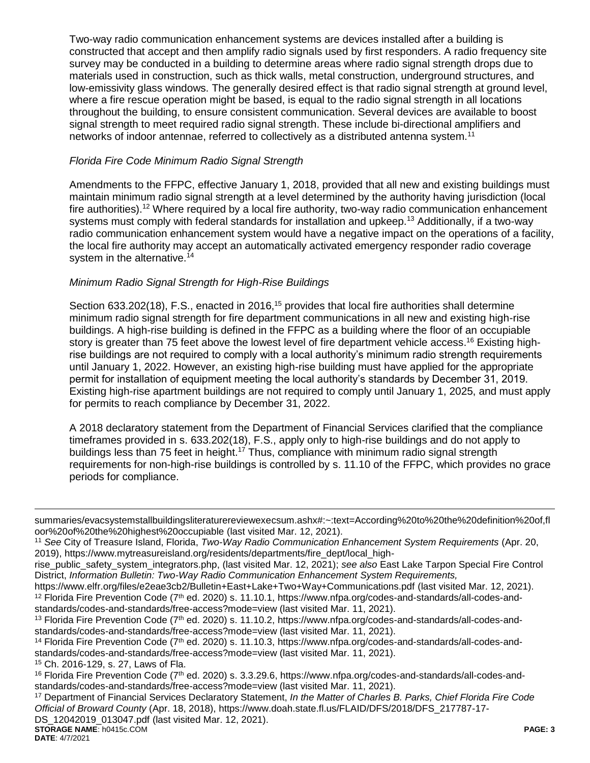Two-way radio communication enhancement systems are devices installed after a building is constructed that accept and then amplify radio signals used by first responders. A radio frequency site survey may be conducted in a building to determine areas where radio signal strength drops due to materials used in construction, such as thick walls, metal construction, underground structures, and low-emissivity glass windows. The generally desired effect is that radio signal strength at ground level, where a fire rescue operation might be based, is equal to the radio signal strength in all locations throughout the building, to ensure consistent communication. Several devices are available to boost signal strength to meet required radio signal strength. These include bi-directional amplifiers and networks of indoor antennae, referred to collectively as a distributed antenna system.<sup>11</sup>

# *Florida Fire Code Minimum Radio Signal Strength*

Amendments to the FFPC, effective January 1, 2018, provided that all new and existing buildings must maintain minimum radio signal strength at a level determined by the authority having jurisdiction (local fire authorities).<sup>12</sup> Where required by a local fire authority, two-way radio communication enhancement systems must comply with federal standards for installation and upkeep.<sup>13</sup> Additionally, if a two-way radio communication enhancement system would have a negative impact on the operations of a facility, the local fire authority may accept an automatically activated emergency responder radio coverage system in the alternative.<sup>14</sup>

# *Minimum Radio Signal Strength for High-Rise Buildings*

Section 633.202(18), F.S., enacted in 2016,<sup>15</sup> provides that local fire authorities shall determine minimum radio signal strength for fire department communications in all new and existing high-rise buildings. A high-rise building is defined in the FFPC as a building where the floor of an occupiable story is greater than 75 feet above the lowest level of fire department vehicle access.<sup>16</sup> Existing highrise buildings are not required to comply with a local authority's minimum radio strength requirements until January 1, 2022. However, an existing high-rise building must have applied for the appropriate permit for installation of equipment meeting the local authority's standards by December 31, 2019. Existing high-rise apartment buildings are not required to comply until January 1, 2025, and must apply for permits to reach compliance by December 31, 2022.

A 2018 declaratory statement from the Department of Financial Services clarified that the compliance timeframes provided in s. 633.202(18), F.S., apply only to high-rise buildings and do not apply to buildings less than 75 feet in height.<sup>17</sup> Thus, compliance with minimum radio signal strength requirements for non-high-rise buildings is controlled by s. 11.10 of the FFPC, which provides no grace periods for compliance.

<sup>15</sup> Ch. 2016-129, s. 27, Laws of Fla.

**STORAGE NAME**: h0415c.COM **PAGE: 3** <sup>17</sup> Department of Financial Services Declaratory Statement, *In the Matter of Charles B. Parks, Chief Florida Fire Code Official of Broward County* (Apr. 18, 2018), https://www.doah.state.fl.us/FLAID/DFS/2018/DFS\_217787-17- DS\_12042019\_013047.pdf (last visited Mar. 12, 2021).

 $\overline{a}$ 

summaries/evacsystemstallbuildingsliteraturereviewexecsum.ashx#:~:text=According%20to%20the%20definition%20of,fl oor%20of%20the%20highest%20occupiable (last visited Mar. 12, 2021).

<sup>11</sup> *See* City of Treasure Island, Florida, *Two-Way Radio Communication Enhancement System Requirements* (Apr. 20, 2019), https://www.mytreasureisland.org/residents/departments/fire\_dept/local\_high-

rise\_public\_safety\_system\_integrators.php, (last visited Mar. 12, 2021); *see also* East Lake Tarpon Special Fire Control District, *Information Bulletin: Two-Way Radio Communication Enhancement System Requirements,*

https://www.elfr.org/files/e2eae3cb2/Bulletin+East+Lake+Two+Way+Communications.pdf (last visited Mar. 12, 2021).  $12$  Florida Fire Prevention Code (7<sup>th</sup> ed. 2020) s. 11.10.1, https://www.nfpa.org/codes-and-standards/all-codes-andstandards/codes-and-standards/free-access?mode=view (last visited Mar. 11, 2021).

<sup>13</sup> Florida Fire Prevention Code (7<sup>th</sup> ed. 2020) s. 11.10.2, https://www.nfpa.org/codes-and-standards/all-codes-andstandards/codes-and-standards/free-access?mode=view (last visited Mar. 11, 2021).

 $14$  Florida Fire Prevention Code (7<sup>th</sup> ed. 2020) s. 11.10.3, https://www.nfpa.org/codes-and-standards/all-codes-andstandards/codes-and-standards/free-access?mode=view (last visited Mar. 11, 2021).

 $16$  Florida Fire Prevention Code ( $7<sup>th</sup>$  ed. 2020) s. 3.3.29.6, https://www.nfpa.org/codes-and-standards/all-codes-andstandards/codes-and-standards/free-access?mode=view (last visited Mar. 11, 2021).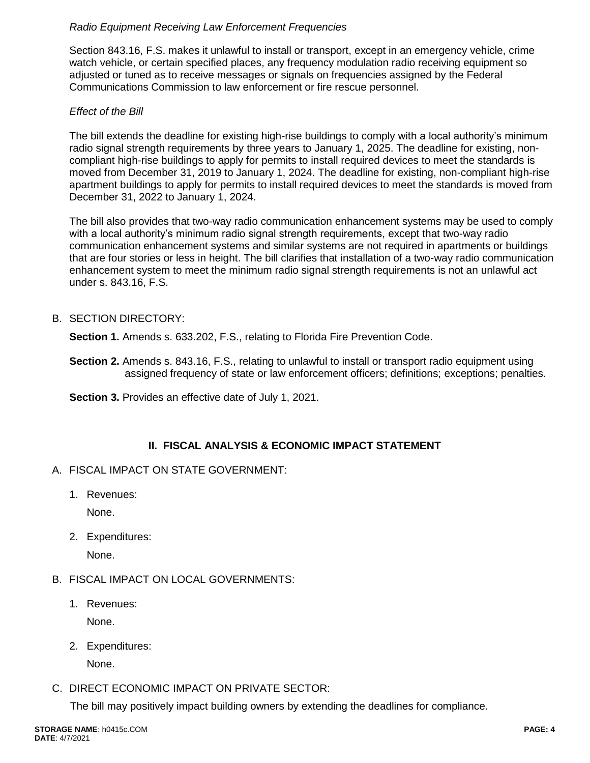# *Radio Equipment Receiving Law Enforcement Frequencies*

Section 843.16, F.S. makes it unlawful to install or transport, except in an emergency vehicle, crime watch vehicle, or certain specified places, any frequency modulation radio receiving equipment so adjusted or tuned as to receive messages or signals on frequencies assigned by the Federal Communications Commission to law enforcement or fire rescue personnel.

# *Effect of the Bill*

The bill extends the deadline for existing high-rise buildings to comply with a local authority's minimum radio signal strength requirements by three years to January 1, 2025. The deadline for existing, noncompliant high-rise buildings to apply for permits to install required devices to meet the standards is moved from December 31, 2019 to January 1, 2024. The deadline for existing, non-compliant high-rise apartment buildings to apply for permits to install required devices to meet the standards is moved from December 31, 2022 to January 1, 2024.

The bill also provides that two-way radio communication enhancement systems may be used to comply with a local authority's minimum radio signal strength requirements, except that two-way radio communication enhancement systems and similar systems are not required in apartments or buildings that are four stories or less in height. The bill clarifies that installation of a two-way radio communication enhancement system to meet the minimum radio signal strength requirements is not an unlawful act under s. 843.16, F.S.

# B. SECTION DIRECTORY:

**Section 1.** Amends s. 633.202, F.S., relating to Florida Fire Prevention Code.

**Section 2.** Amends s. 843.16, F.S., relating to unlawful to install or transport radio equipment using assigned frequency of state or law enforcement officers; definitions; exceptions; penalties.

**Section 3.** Provides an effective date of July 1, 2021.

# **II. FISCAL ANALYSIS & ECONOMIC IMPACT STATEMENT**

#### A. FISCAL IMPACT ON STATE GOVERNMENT:

1. Revenues:

None.

2. Expenditures:

None.

- B. FISCAL IMPACT ON LOCAL GOVERNMENTS:
	- 1. Revenues:

None.

2. Expenditures:

None.

# C. DIRECT ECONOMIC IMPACT ON PRIVATE SECTOR:

The bill may positively impact building owners by extending the deadlines for compliance.